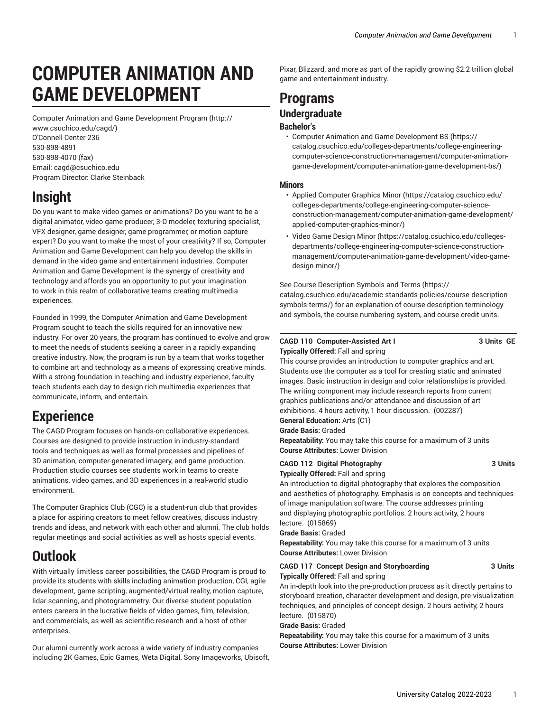# **COMPUTER ANIMATION AND GAME DEVELOPMENT**

Computer Animation and Game [Development](http://www.csuchico.edu/cagd/) Program ([http://](http://www.csuchico.edu/cagd/) [www.csuchico.edu/cagd/](http://www.csuchico.edu/cagd/)) O'Connell Center 236 [530-898-4891](tel:530-898-4891) [530-898-4070 \(fax\)](tel:530-898-4070) Email: [cagd@csuchico.edu](mailto:cagd@csuchico.edu) Program Director: Clarke Steinback

# **Insight**

Do you want to make video games or animations? Do you want to be a digital animator, video game producer, 3-D modeler, texturing specialist, VFX designer, game designer, game programmer, or motion capture expert? Do you want to make the most of your creativity? If so, Computer Animation and Game Development can help you develop the skills in demand in the video game and entertainment industries. Computer Animation and Game Development is the synergy of creativity and technology and affords you an opportunity to put your imagination to work in this realm of collaborative teams creating multimedia experiences.

Founded in 1999, the Computer Animation and Game Development Program sought to teach the skills required for an innovative new industry. For over 20 years, the program has continued to evolve and grow to meet the needs of students seeking a career in a rapidly expanding creative industry. Now, the program is run by a team that works together to combine art and technology as a means of expressing creative minds. With a strong foundation in teaching and industry experience, faculty teach students each day to design rich multimedia experiences that communicate, inform, and entertain.

# **Experience**

The CAGD Program focuses on hands-on collaborative experiences. Courses are designed to provide instruction in industry-standard tools and techniques as well as formal processes and pipelines of 3D animation, computer-generated imagery, and game production. Production studio courses see students work in teams to create animations, video games, and 3D experiences in a real-world studio environment.

The Computer Graphics Club (CGC) is a student-run club that provides a place for aspiring creators to meet fellow creatives, discuss industry trends and ideas, and network with each other and alumni. The club holds regular meetings and social activities as well as hosts special events.

# **Outlook**

With virtually limitless career possibilities, the CAGD Program is proud to provide its students with skills including animation production, CGI, agile development, game scripting, augmented/virtual reality, motion capture, lidar scanning, and photogrammetry. Our diverse student population enters careers in the lucrative fields of video games, film, television, and commercials, as well as scientific research and a host of other enterprises.

Our alumni currently work across a wide variety of industry companies including 2K Games, Epic Games, Weta Digital, Sony Imageworks, Ubisoft, Pixar, Blizzard, and more as part of the rapidly growing \$2.2 trillion global game and entertainment industry.

# **Programs**

# **Undergraduate Bachelor's**

• Computer Animation and Game [Development](https://catalog.csuchico.edu/colleges-departments/college-engineering-computer-science-construction-management/computer-animation-game-development/computer-animation-game-development-bs/) BS [\(https://](https://catalog.csuchico.edu/colleges-departments/college-engineering-computer-science-construction-management/computer-animation-game-development/computer-animation-game-development-bs/) [catalog.csuchico.edu/colleges-departments/college-engineering](https://catalog.csuchico.edu/colleges-departments/college-engineering-computer-science-construction-management/computer-animation-game-development/computer-animation-game-development-bs/)[computer-science-construction-management/computer-animation](https://catalog.csuchico.edu/colleges-departments/college-engineering-computer-science-construction-management/computer-animation-game-development/computer-animation-game-development-bs/)[game-development/computer-animation-game-development-bs/\)](https://catalog.csuchico.edu/colleges-departments/college-engineering-computer-science-construction-management/computer-animation-game-development/computer-animation-game-development-bs/)

# **Minors**

- [Applied Computer Graphics Minor \(https://catalog.csuchico.edu/](https://catalog.csuchico.edu/colleges-departments/college-engineering-computer-science-construction-management/computer-animation-game-development/applied-computer-graphics-minor/) [colleges-departments/college-engineering-computer-science](https://catalog.csuchico.edu/colleges-departments/college-engineering-computer-science-construction-management/computer-animation-game-development/applied-computer-graphics-minor/)[construction-management/computer-animation-game-development/](https://catalog.csuchico.edu/colleges-departments/college-engineering-computer-science-construction-management/computer-animation-game-development/applied-computer-graphics-minor/) [applied-computer-graphics-minor/](https://catalog.csuchico.edu/colleges-departments/college-engineering-computer-science-construction-management/computer-animation-game-development/applied-computer-graphics-minor/))
- [Video Game Design Minor](https://catalog.csuchico.edu/colleges-departments/college-engineering-computer-science-construction-management/computer-animation-game-development/video-game-design-minor/) [\(https://catalog.csuchico.edu/colleges](https://catalog.csuchico.edu/colleges-departments/college-engineering-computer-science-construction-management/computer-animation-game-development/video-game-design-minor/)[departments/college-engineering-computer-science-construction](https://catalog.csuchico.edu/colleges-departments/college-engineering-computer-science-construction-management/computer-animation-game-development/video-game-design-minor/)[management/computer-animation-game-development/video-game](https://catalog.csuchico.edu/colleges-departments/college-engineering-computer-science-construction-management/computer-animation-game-development/video-game-design-minor/)[design-minor/\)](https://catalog.csuchico.edu/colleges-departments/college-engineering-computer-science-construction-management/computer-animation-game-development/video-game-design-minor/)

See Course [Description](https://catalog.csuchico.edu/academic-standards-policies/course-description-symbols-terms/) Symbols and Terms ([https://](https://catalog.csuchico.edu/academic-standards-policies/course-description-symbols-terms/) [catalog.csuchico.edu/academic-standards-policies/course-description](https://catalog.csuchico.edu/academic-standards-policies/course-description-symbols-terms/)[symbols-terms/](https://catalog.csuchico.edu/academic-standards-policies/course-description-symbols-terms/)) for an explanation of course description terminology and symbols, the course numbering system, and course credit units.

### **CAGD 110 Computer-Assisted Art I 3 Units GE Typically Offered:** Fall and spring

This course provides an introduction to computer graphics and art. Students use the computer as a tool for creating static and animated images. Basic instruction in design and color relationships is provided. The writing component may include research reports from current graphics publications and/or attendance and discussion of art exhibitions. 4 hours activity, 1 hour discussion. (002287) **General Education:** Arts (C1)

**Grade Basis:** Graded

**Repeatability:** You may take this course for a maximum of 3 units **Course Attributes:** Lower Division

#### **CAGD 112 Digital Photography 3 Units Typically Offered:** Fall and spring

An introduction to digital photography that explores the composition and aesthetics of photography. Emphasis is on concepts and techniques of image manipulation software. The course addresses printing and displaying photographic portfolios. 2 hours activity, 2 hours lecture. (015869)

**Grade Basis:** Graded

**Repeatability:** You may take this course for a maximum of 3 units **Course Attributes:** Lower Division

# **CAGD 117 Concept Design and Storyboarding 3 Units Typically Offered:** Fall and spring

An in-depth look into the pre-production process as it directly pertains to storyboard creation, character development and design, pre-visualization techniques, and principles of concept design. 2 hours activity, 2 hours lecture. (015870)

**Grade Basis:** Graded

**Repeatability:** You may take this course for a maximum of 3 units **Course Attributes:** Lower Division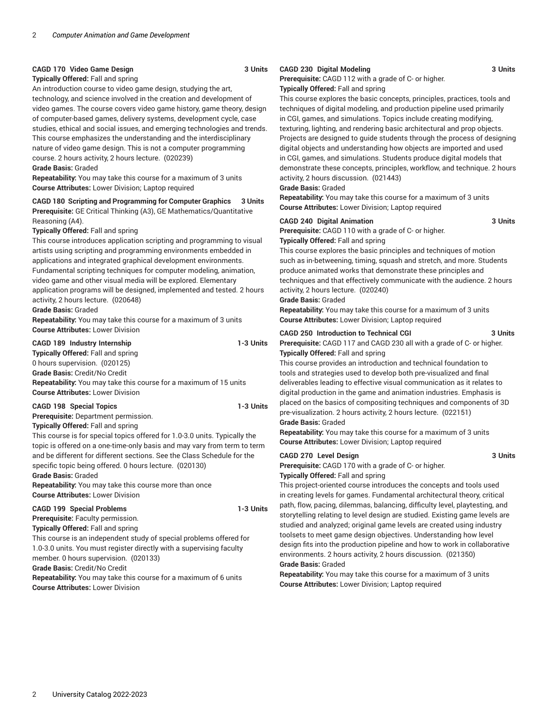#### **CAGD 170 Video Game Design 3 Units**

#### **Typically Offered:** Fall and spring

An introduction course to video game design, studying the art, technology, and science involved in the creation and development of video games. The course covers video game history, game theory, design of computer-based games, delivery systems, development cycle, case studies, ethical and social issues, and emerging technologies and trends. This course emphasizes the understanding and the interdisciplinary nature of video game design. This is not a computer programming course. 2 hours activity, 2 hours lecture. (020239)

**Grade Basis:** Graded

**Repeatability:** You may take this course for a maximum of 3 units **Course Attributes:** Lower Division; Laptop required

**CAGD 180 Scripting and Programming for Computer Graphics 3 Units** 

**Prerequisite:** GE Critical Thinking (A3), GE Mathematics/Quantitative Reasoning (A4).

**Typically Offered:** Fall and spring

This course introduces application scripting and programming to visual artists using scripting and programming environments embedded in applications and integrated graphical development environments. Fundamental scripting techniques for computer modeling, animation, video game and other visual media will be explored. Elementary application programs will be designed, implemented and tested. 2 hours activity, 2 hours lecture. (020648)

#### **Grade Basis:** Graded

**Repeatability:** You may take this course for a maximum of 3 units **Course Attributes:** Lower Division

### **CAGD 189 Industry Internship 1-3 Units**

**Typically Offered:** Fall and spring

0 hours supervision. (020125)

**Grade Basis:** Credit/No Credit

**Repeatability:** You may take this course for a maximum of 15 units **Course Attributes:** Lower Division

# **CAGD 198 Special Topics 1-3 Units**

**Prerequisite:** Department permission.

**Typically Offered:** Fall and spring

This course is for special topics offered for 1.0-3.0 units. Typically the topic is offered on a one-time-only basis and may vary from term to term and be different for different sections. See the Class Schedule for the specific topic being offered. 0 hours lecture. (020130) **Grade Basis:** Graded

**Repeatability:** You may take this course more than once **Course Attributes:** Lower Division

### **CAGD 199 Special Problems 1-3 Units**

**Prerequisite:** Faculty permission.

**Typically Offered:** Fall and spring

This course is an independent study of special problems offered for 1.0-3.0 units. You must register directly with a supervising faculty

member. 0 hours supervision. (020133)

**Grade Basis:** Credit/No Credit

**Repeatability:** You may take this course for a maximum of 6 units **Course Attributes:** Lower Division

# **CAGD 230 Digital Modeling 3 Units**

**Prerequisite:** CAGD 112 with a grade of C- or higher.

**Typically Offered:** Fall and spring

This course explores the basic concepts, principles, practices, tools and techniques of digital modeling, and production pipeline used primarily in CGI, games, and simulations. Topics include creating modifying, texturing, lighting, and rendering basic architectural and prop objects. Projects are designed to guide students through the process of designing digital objects and understanding how objects are imported and used in CGI, games, and simulations. Students produce digital models that demonstrate these concepts, principles, workflow, and technique. 2 hours activity, 2 hours discussion. (021443)

**Grade Basis:** Graded

**Repeatability:** You may take this course for a maximum of 3 units **Course Attributes:** Lower Division; Laptop required

#### **CAGD 240 Digital Animation 3 Units**

**Prerequisite:** CAGD 110 with a grade of C- or higher.

**Typically Offered:** Fall and spring

This course explores the basic principles and techniques of motion such as in-betweening, timing, squash and stretch, and more. Students produce animated works that demonstrate these principles and techniques and that effectively communicate with the audience. 2 hours activity, 2 hours lecture. (020240)

**Grade Basis:** Graded

**Repeatability:** You may take this course for a maximum of 3 units **Course Attributes:** Lower Division; Laptop required

#### **CAGD 250 Introduction to Technical CGI 3 Units**

**Prerequisite:** CAGD 117 and CAGD 230 all with a grade of C- or higher. **Typically Offered:** Fall and spring

This course provides an introduction and technical foundation to tools and strategies used to develop both pre-visualized and final deliverables leading to effective visual communication as it relates to digital production in the game and animation industries. Emphasis is placed on the basics of compositing techniques and components of 3D pre-visualization. 2 hours activity, 2 hours lecture. (022151) **Grade Basis:** Graded

**Repeatability:** You may take this course for a maximum of 3 units **Course Attributes:** Lower Division; Laptop required

#### **CAGD 270 Level Design 3 Units**

**Prerequisite:** CAGD 170 with a grade of C- or higher. **Typically Offered:** Fall and spring

This project-oriented course introduces the concepts and tools used in creating levels for games. Fundamental architectural theory, critical path, flow, pacing, dilemmas, balancing, difficulty level, playtesting, and storytelling relating to level design are studied. Existing game levels are studied and analyzed; original game levels are created using industry toolsets to meet game design objectives. Understanding how level design fits into the production pipeline and how to work in collaborative environments. 2 hours activity, 2 hours discussion. (021350) **Grade Basis:** Graded

**Repeatability:** You may take this course for a maximum of 3 units **Course Attributes:** Lower Division; Laptop required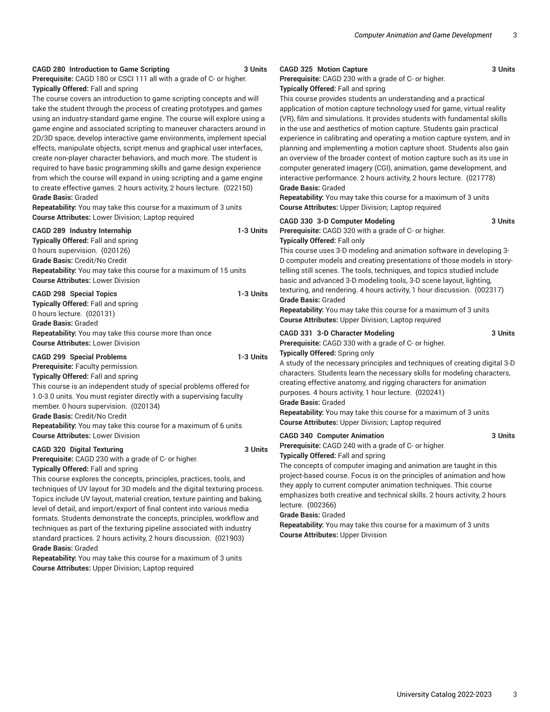#### **CAGD 280 Introduction to Game Scripting 3 Units**

**Prerequisite:** CAGD 180 or CSCI 111 all with a grade of C- or higher. **Typically Offered:** Fall and spring

The course covers an introduction to game scripting concepts and will take the student through the process of creating prototypes and games using an industry-standard game engine. The course will explore using a game engine and associated scripting to maneuver characters around in 2D/3D space, develop interactive game environments, implement special effects, manipulate objects, script menus and graphical user interfaces, create non-player character behaviors, and much more. The student is required to have basic programming skills and game design experience from which the course will expand in using scripting and a game engine to create effective games. 2 hours activity, 2 hours lecture. (022150) **Grade Basis:** Graded

**Repeatability:** You may take this course for a maximum of 3 units **Course Attributes:** Lower Division; Laptop required

| CAGD 289 Industry Internship<br><b>Typically Offered: Fall and spring</b><br>0 hours supervision. (020126)<br><b>Grade Basis: Credit/No Credit</b><br><b>Repeatability:</b> You may take this course for a maximum of 15 units<br><b>Course Attributes: Lower Division</b>                                                                                                                                                                                  | 1-3 Units |
|-------------------------------------------------------------------------------------------------------------------------------------------------------------------------------------------------------------------------------------------------------------------------------------------------------------------------------------------------------------------------------------------------------------------------------------------------------------|-----------|
| <b>CAGD 298 Special Topics</b><br><b>Typically Offered: Fall and spring</b><br>0 hours lecture. (020131)<br><b>Grade Basis: Graded</b><br><b>Repeatability:</b> You may take this course more than once<br><b>Course Attributes: Lower Division</b>                                                                                                                                                                                                         | 1-3 Units |
| <b>CAGD 299 Special Problems</b><br>Prerequisite: Faculty permission.<br><b>Typically Offered: Fall and spring</b><br>This course is an independent study of special problems offered for<br>1.0-3.0 units. You must register directly with a supervising faculty<br>member. 0 hours supervision. (020134)<br>Grade Basis: Credit/No Credit<br>Repeatability: You may take this course for a maximum of 6 units<br><b>Course Attributes: Lower Division</b> | 1-3 Units |
| <b>CAGD 320 Digital Texturing</b><br><b>Prerequisite:</b> CAGD 230 with a grade of C- or higher.<br><b>Typically Offered: Fall and spring</b>                                                                                                                                                                                                                                                                                                               | 3 Units   |

This course explores the concepts, principles, practices, tools, and techniques of UV layout for 3D models and the digital texturing process. Topics include UV layout, material creation, texture painting and baking, level of detail, and import/export of final content into various media formats. Students demonstrate the concepts, principles, workflow and techniques as part of the texturing pipeline associated with industry standard practices. 2 hours activity, 2 hours discussion. (021903) **Grade Basis:** Graded

**Repeatability:** You may take this course for a maximum of 3 units **Course Attributes:** Upper Division; Laptop required

# **CAGD 325 Motion Capture 3 Units**

**Prerequisite:** CAGD 230 with a grade of C- or higher.

**Typically Offered:** Fall and spring

This course provides students an understanding and a practical application of motion capture technology used for game, virtual reality (VR), film and simulations. It provides students with fundamental skills in the use and aesthetics of motion capture. Students gain practical experience in calibrating and operating a motion capture system, and in planning and implementing a motion capture shoot. Students also gain an overview of the broader context of motion capture such as its use in computer generated imagery (CGI), animation, game development, and interactive performance. 2 hours activity, 2 hours lecture. (021778) **Grade Basis:** Graded

**Repeatability:** You may take this course for a maximum of 3 units **Course Attributes:** Upper Division; Laptop required

#### **CAGD 330 3-D Computer Modeling 3 Units**

**Prerequisite:** CAGD 320 with a grade of C- or higher.

#### **Typically Offered:** Fall only

This course uses 3-D modeling and animation software in developing 3- D computer models and creating presentations of those models in storytelling still scenes. The tools, techniques, and topics studied include basic and advanced 3-D modeling tools, 3-D scene layout, lighting, texturing, and rendering. 4 hours activity, 1 hour discussion. (002317) **Grade Basis:** Graded

**Repeatability:** You may take this course for a maximum of 3 units **Course Attributes:** Upper Division; Laptop required

#### **CAGD 331 3-D Character Modeling 3 Units**

**Prerequisite:** CAGD 330 with a grade of C- or higher.

**Typically Offered:** Spring only

A study of the necessary principles and techniques of creating digital 3-D characters. Students learn the necessary skills for modeling characters, creating effective anatomy, and rigging characters for animation purposes. 4 hours activity, 1 hour lecture. (020241)

**Grade Basis:** Graded

**Repeatability:** You may take this course for a maximum of 3 units **Course Attributes:** Upper Division; Laptop required

#### **CAGD 340 Computer Animation 3 Units**

**Prerequisite:** CAGD 240 with a grade of C- or higher. **Typically Offered:** Fall and spring

The concepts of computer imaging and animation are taught in this project-based course. Focus is on the principles of animation and how they apply to current computer animation techniques. This course emphasizes both creative and technical skills. 2 hours activity, 2 hours lecture. (002366)

**Grade Basis:** Graded

**Repeatability:** You may take this course for a maximum of 3 units **Course Attributes:** Upper Division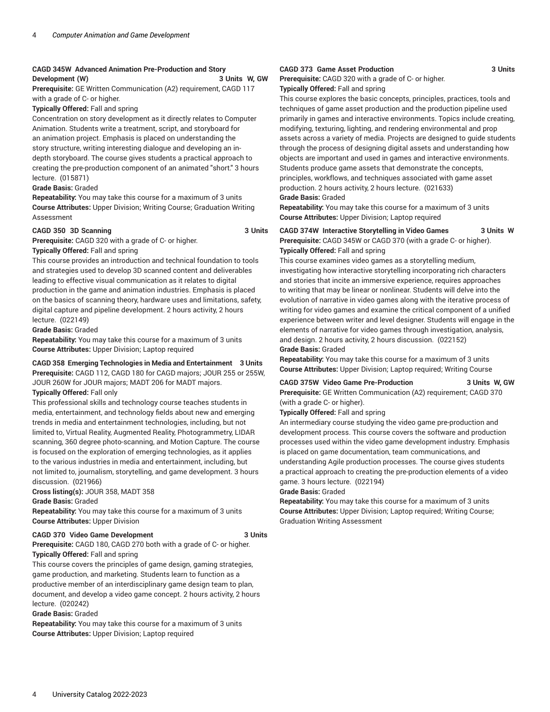# **CAGD 345W Advanced Animation Pre-Production and Story Development (W) 3 Units W, GW**

**Prerequisite:** GE Written Communication (A2) requirement, CAGD 117 with a grade of C- or higher.

### **Typically Offered:** Fall and spring

Concentration on story development as it directly relates to Computer Animation. Students write a treatment, script, and storyboard for an animation project. Emphasis is placed on understanding the story structure, writing interesting dialogue and developing an indepth storyboard. The course gives students a practical approach to creating the pre-production component of an animated "short." 3 hours lecture. (015871)

#### **Grade Basis:** Graded

**Repeatability:** You may take this course for a maximum of 3 units **Course Attributes:** Upper Division; Writing Course; Graduation Writing Assessment

#### **CAGD 350 3D Scanning 3 Units**

**Prerequisite:** CAGD 320 with a grade of C- or higher.

**Typically Offered:** Fall and spring

This course provides an introduction and technical foundation to tools and strategies used to develop 3D scanned content and deliverables leading to effective visual communication as it relates to digital production in the game and animation industries. Emphasis is placed on the basics of scanning theory, hardware uses and limitations, safety, digital capture and pipeline development. 2 hours activity, 2 hours lecture. (022149)

**Grade Basis:** Graded

**Repeatability:** You may take this course for a maximum of 3 units **Course Attributes:** Upper Division; Laptop required

# **CAGD 358 Emerging Technologies in Media and Entertainment 3 Units**

**Prerequisite:** CAGD 112, CAGD 180 for CAGD majors; JOUR 255 or 255W, JOUR 260W for JOUR majors; MADT 206 for MADT majors.

#### **Typically Offered:** Fall only

This professional skills and technology course teaches students in media, entertainment, and technology fields about new and emerging trends in media and entertainment technologies, including, but not limited to, Virtual Reality, Augmented Reality, Photogrammetry, LIDAR scanning, 360 degree photo-scanning, and Motion Capture. The course is focused on the exploration of emerging technologies, as it applies to the various industries in media and entertainment, including, but not limited to, journalism, storytelling, and game development. 3 hours discussion. (021966)

**Cross listing(s):** JOUR 358, MADT 358

**Grade Basis:** Graded

**Repeatability:** You may take this course for a maximum of 3 units **Course Attributes:** Upper Division

# **CAGD 370 Video Game Development 3 Units**

**Prerequisite:** CAGD 180, CAGD 270 both with a grade of C- or higher. **Typically Offered:** Fall and spring

This course covers the principles of game design, gaming strategies, game production, and marketing. Students learn to function as a productive member of an interdisciplinary game design team to plan, document, and develop a video game concept. 2 hours activity, 2 hours lecture. (020242)

**Grade Basis:** Graded

**Repeatability:** You may take this course for a maximum of 3 units **Course Attributes:** Upper Division; Laptop required

#### **CAGD 373 Game Asset Production 3 Units**

**Prerequisite:** CAGD 320 with a grade of C- or higher.

#### **Typically Offered:** Fall and spring

This course explores the basic concepts, principles, practices, tools and techniques of game asset production and the production pipeline used primarily in games and interactive environments. Topics include creating, modifying, texturing, lighting, and rendering environmental and prop assets across a variety of media. Projects are designed to guide students through the process of designing digital assets and understanding how objects are important and used in games and interactive environments. Students produce game assets that demonstrate the concepts, principles, workflows, and techniques associated with game asset production. 2 hours activity, 2 hours lecture. (021633)

#### **Grade Basis:** Graded

**Repeatability:** You may take this course for a maximum of 3 units **Course Attributes:** Upper Division; Laptop required

# **CAGD 374W Interactive Storytelling in Video Games 3 Units W Prerequisite:** CAGD 345W or CAGD 370 (with a grade C- or higher). **Typically Offered:** Fall and spring

This course examines video games as a storytelling medium, investigating how interactive storytelling incorporating rich characters and stories that incite an immersive experience, requires approaches to writing that may be linear or nonlinear. Students will delve into the evolution of narrative in video games along with the iterative process of writing for video games and examine the critical component of a unified experience between writer and level designer. Students will engage in the elements of narrative for video games through investigation, analysis, and design. 2 hours activity, 2 hours discussion. (022152) **Grade Basis:** Graded

**Repeatability:** You may take this course for a maximum of 3 units **Course Attributes:** Upper Division; Laptop required; Writing Course

# **CAGD 375W Video Game Pre-Production 3 Units W, GW**

**Prerequisite:** GE Written Communication (A2) requirement; CAGD 370 (with a grade C- or higher).

**Typically Offered:** Fall and spring

An intermediary course studying the video game pre-production and development process. This course covers the software and production processes used within the video game development industry. Emphasis is placed on game documentation, team communications, and understanding Agile production processes. The course gives students a practical approach to creating the pre-production elements of a video game. 3 hours lecture. (022194)

#### **Grade Basis:** Graded

**Repeatability:** You may take this course for a maximum of 3 units **Course Attributes:** Upper Division; Laptop required; Writing Course; Graduation Writing Assessment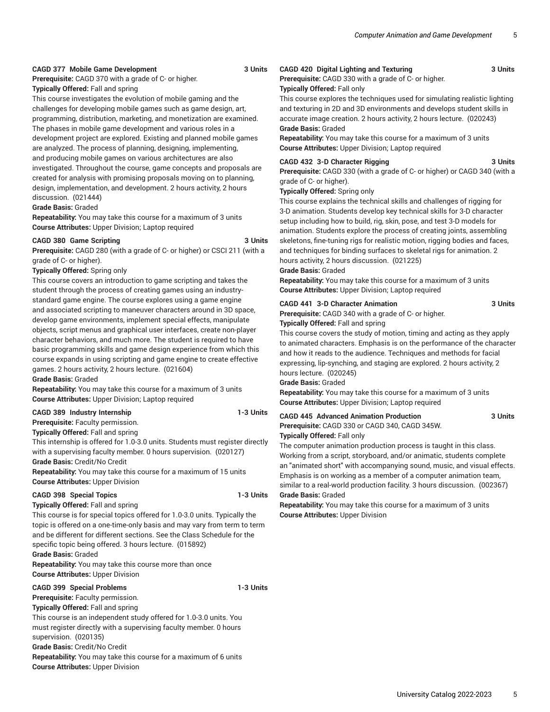#### **CAGD 377 Mobile Game Development 3 Units**

# **Prerequisite:** CAGD 370 with a grade of C- or higher.

**Typically Offered:** Fall and spring

This course investigates the evolution of mobile gaming and the challenges for developing mobile games such as game design, art, programming, distribution, marketing, and monetization are examined. The phases in mobile game development and various roles in a development project are explored. Existing and planned mobile games are analyzed. The process of planning, designing, implementing, and producing mobile games on various architectures are also investigated. Throughout the course, game concepts and proposals are created for analysis with promising proposals moving on to planning, design, implementation, and development. 2 hours activity, 2 hours discussion. (021444)

#### **Grade Basis:** Graded

**Repeatability:** You may take this course for a maximum of 3 units **Course Attributes:** Upper Division; Laptop required

#### **CAGD 380 Game Scripting 3 Units**

**Prerequisite:** CAGD 280 (with a grade of C- or higher) or CSCI 211 (with a grade of C- or higher).

#### **Typically Offered:** Spring only

This course covers an introduction to game scripting and takes the student through the process of creating games using an industrystandard game engine. The course explores using a game engine and associated scripting to maneuver characters around in 3D space, develop game environments, implement special effects, manipulate objects, script menus and graphical user interfaces, create non-player character behaviors, and much more. The student is required to have basic programming skills and game design experience from which this course expands in using scripting and game engine to create effective games. 2 hours activity, 2 hours lecture. (021604)

**Grade Basis:** Graded

**Repeatability:** You may take this course for a maximum of 3 units **Course Attributes:** Upper Division; Laptop required

#### **CAGD 389 Industry Internship 1-3 Units**

**Prerequisite:** Faculty permission.

**Typically Offered:** Fall and spring

This internship is offered for 1.0-3.0 units. Students must register directly with a supervising faculty member. 0 hours supervision. (020127) **Grade Basis:** Credit/No Credit

**Repeatability:** You may take this course for a maximum of 15 units **Course Attributes:** Upper Division

# **CAGD 398 Special Topics 1-3 Units**

#### **Typically Offered:** Fall and spring

This course is for special topics offered for 1.0-3.0 units. Typically the topic is offered on a one-time-only basis and may vary from term to term and be different for different sections. See the Class Schedule for the specific topic being offered. 3 hours lecture. (015892)

**Grade Basis:** Graded

**Repeatability:** You may take this course more than once **Course Attributes:** Upper Division

#### **CAGD 399 Special Problems 1-3 Units**

**Prerequisite:** Faculty permission.

**Typically Offered:** Fall and spring

This course is an independent study offered for 1.0-3.0 units. You must register directly with a supervising faculty member. 0 hours supervision. (020135)

**Grade Basis:** Credit/No Credit

**Repeatability:** You may take this course for a maximum of 6 units **Course Attributes:** Upper Division

# **CAGD 420 Digital Lighting and Texturing 3 Units**

**Prerequisite:** CAGD 330 with a grade of C- or higher.

### **Typically Offered:** Fall only

This course explores the techniques used for simulating realistic lighting and texturing in 2D and 3D environments and develops student skills in accurate image creation. 2 hours activity, 2 hours lecture. (020243) **Grade Basis:** Graded

**Repeatability:** You may take this course for a maximum of 3 units **Course Attributes:** Upper Division; Laptop required

#### **CAGD 432 3-D Character Rigging 3 Units**

**Prerequisite:** CAGD 330 (with a grade of C- or higher) or CAGD 340 (with a grade of C- or higher).

#### **Typically Offered:** Spring only

This course explains the technical skills and challenges of rigging for 3-D animation. Students develop key technical skills for 3-D character setup including how to build, rig, skin, pose, and test 3-D models for animation. Students explore the process of creating joints, assembling skeletons, fine-tuning rigs for realistic motion, rigging bodies and faces, and techniques for binding surfaces to skeletal rigs for animation. 2 hours activity, 2 hours discussion. (021225)

#### **Grade Basis:** Graded

**Repeatability:** You may take this course for a maximum of 3 units **Course Attributes:** Upper Division; Laptop required

#### **CAGD 441 3-D Character Animation 3 Units**

**Prerequisite:** CAGD 340 with a grade of C- or higher.

**Typically Offered:** Fall and spring

This course covers the study of motion, timing and acting as they apply to animated characters. Emphasis is on the performance of the character and how it reads to the audience. Techniques and methods for facial expressing, lip-synching, and staging are explored. 2 hours activity, 2 hours lecture. (020245)

#### **Grade Basis:** Graded

**Repeatability:** You may take this course for a maximum of 3 units **Course Attributes:** Upper Division; Laptop required

#### **CAGD 445 Advanced Animation Production 3 Units**

**Prerequisite:** CAGD 330 or CAGD 340, CAGD 345W. **Typically Offered:** Fall only

The computer animation production process is taught in this class. Working from a script, storyboard, and/or animatic, students complete an "animated short" with accompanying sound, music, and visual effects. Emphasis is on working as a member of a computer animation team, similar to a real-world production facility. 3 hours discussion. (002367) **Grade Basis:** Graded

**Repeatability:** You may take this course for a maximum of 3 units **Course Attributes:** Upper Division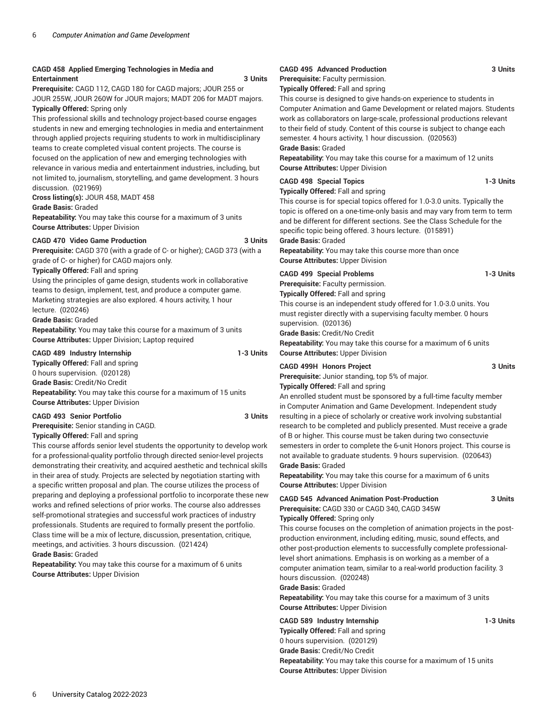#### **CAGD 458 Applied Emerging Technologies in Media and Entertainment 3 Units**

**Prerequisite:** CAGD 112, CAGD 180 for CAGD majors; JOUR 255 or JOUR 255W, JOUR 260W for JOUR majors; MADT 206 for MADT majors. **Typically Offered:** Spring only

This professional skills and technology project-based course engages students in new and emerging technologies in media and entertainment through applied projects requiring students to work in multidisciplinary teams to create completed visual content projects. The course is focused on the application of new and emerging technologies with relevance in various media and entertainment industries, including, but not limited to, journalism, storytelling, and game development. 3 hours discussion. (021969)

**Cross listing(s):** JOUR 458, MADT 458

**Grade Basis:** Graded

**Repeatability:** You may take this course for a maximum of 3 units **Course Attributes:** Upper Division

### **CAGD 470 Video Game Production 3 Units**

**Prerequisite:** CAGD 370 (with a grade of C- or higher); CAGD 373 (with a grade of C- or higher) for CAGD majors only.

**Typically Offered:** Fall and spring

Using the principles of game design, students work in collaborative teams to design, implement, test, and produce a computer game. Marketing strategies are also explored. 4 hours activity, 1 hour lecture. (020246)

**Grade Basis:** Graded

**Repeatability:** You may take this course for a maximum of 3 units **Course Attributes:** Upper Division; Laptop required

#### **CAGD 489 Industry Internship 1-3 Units Typically Offered:** Fall and spring

0 hours supervision. (020128)

**Grade Basis:** Credit/No Credit **Repeatability:** You may take this course for a maximum of 15 units **Course Attributes:** Upper Division

# **CAGD 493 Senior Portfolio 3 Units**

**Prerequisite:** Senior standing in CAGD.

**Typically Offered:** Fall and spring

This course affords senior level students the opportunity to develop work for a professional-quality portfolio through directed senior-level projects demonstrating their creativity, and acquired aesthetic and technical skills in their area of study. Projects are selected by negotiation starting with a specific written proposal and plan. The course utilizes the process of preparing and deploying a professional portfolio to incorporate these new works and refined selections of prior works. The course also addresses self-promotional strategies and successful work practices of industry professionals. Students are required to formally present the portfolio. Class time will be a mix of lecture, discussion, presentation, critique, meetings, and activities. 3 hours discussion. (021424) **Grade Basis:** Graded

**Repeatability:** You may take this course for a maximum of 6 units **Course Attributes:** Upper Division

# **CAGD 495 Advanced Production 3 Units**

**Prerequisite:** Faculty permission.

**Typically Offered:** Fall and spring

This course is designed to give hands-on experience to students in Computer Animation and Game Development or related majors. Students work as collaborators on large-scale, professional productions relevant to their field of study. Content of this course is subject to change each semester. 4 hours activity, 1 hour discussion. (020563)

**Grade Basis:** Graded

**Repeatability:** You may take this course for a maximum of 12 units **Course Attributes:** Upper Division

### **CAGD 498 Special Topics 1-3 Units**

#### **Typically Offered:** Fall and spring

This course is for special topics offered for 1.0-3.0 units. Typically the topic is offered on a one-time-only basis and may vary from term to term and be different for different sections. See the Class Schedule for the specific topic being offered. 3 hours lecture. (015891)

**Grade Basis:** Graded

**Repeatability:** You may take this course more than once **Course Attributes:** Upper Division

# **CAGD 499 Special Problems 1-3 Units**

**Prerequisite:** Faculty permission.

**Typically Offered:** Fall and spring

This course is an independent study offered for 1.0-3.0 units. You must register directly with a supervising faculty member. 0 hours supervision. (020136)

**Grade Basis:** Credit/No Credit

**Repeatability:** You may take this course for a maximum of 6 units **Course Attributes:** Upper Division

#### **CAGD 499H Honors Project 3 Units**

**Prerequisite:** Junior standing, top 5% of major.

**Typically Offered:** Fall and spring

An enrolled student must be sponsored by a full-time faculty member in Computer Animation and Game Development. Independent study resulting in a piece of scholarly or creative work involving substantial research to be completed and publicly presented. Must receive a grade of B or higher. This course must be taken during two consectuvie semesters in order to complete the 6-unit Honors project. This course is not available to graduate students. 9 hours supervision. (020643) **Grade Basis:** Graded

**Repeatability:** You may take this course for a maximum of 6 units **Course Attributes:** Upper Division

# **CAGD 545 Advanced Animation Post-Production 3 Units Prerequisite:** CAGD 330 or CAGD 340, CAGD 345W

**Typically Offered:** Spring only

This course focuses on the completion of animation projects in the postproduction environment, including editing, music, sound effects, and other post-production elements to successfully complete professionallevel short animations. Emphasis is on working as a member of a computer animation team, similar to a real-world production facility. 3 hours discussion. (020248)

# **Grade Basis:** Graded

**Repeatability:** You may take this course for a maximum of 3 units **Course Attributes:** Upper Division

# **CAGD 589 Industry Internship 1-3 Units**

**Typically Offered:** Fall and spring 0 hours supervision. (020129) **Grade Basis:** Credit/No Credit **Repeatability:** You may take this course for a maximum of 15 units **Course Attributes:** Upper Division